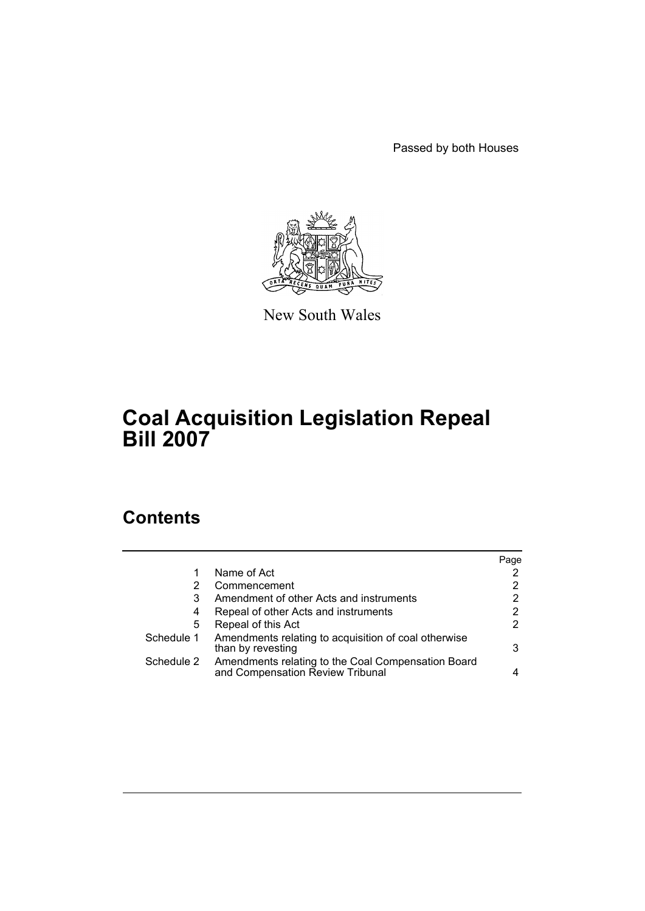Passed by both Houses



New South Wales

# **Coal Acquisition Legislation Repeal Bill 2007**

# **Contents**

|            |                                                                                        | Page |
|------------|----------------------------------------------------------------------------------------|------|
| 1          | Name of Act                                                                            |      |
| 2          | Commencement                                                                           | 2    |
| 3          | Amendment of other Acts and instruments                                                | 2    |
| 4          | Repeal of other Acts and instruments                                                   | 2    |
| 5          | Repeal of this Act                                                                     | 2    |
| Schedule 1 | Amendments relating to acquisition of coal otherwise<br>than by revesting              | 3    |
| Schedule 2 | Amendments relating to the Coal Compensation Board<br>and Compensation Review Tribunal |      |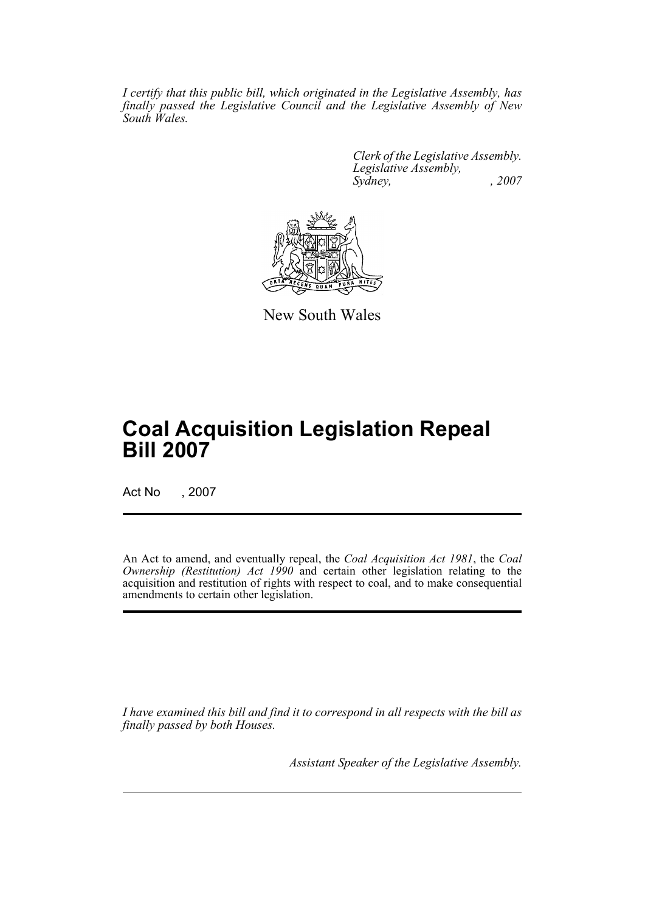*I certify that this public bill, which originated in the Legislative Assembly, has finally passed the Legislative Council and the Legislative Assembly of New South Wales.*

> *Clerk of the Legislative Assembly. Legislative Assembly, Sydney, , 2007*



New South Wales

# **Coal Acquisition Legislation Repeal Bill 2007**

Act No , 2007

An Act to amend, and eventually repeal, the *Coal Acquisition Act 1981*, the *Coal Ownership (Restitution) Act 1990* and certain other legislation relating to the acquisition and restitution of rights with respect to coal, and to make consequential amendments to certain other legislation.

*I have examined this bill and find it to correspond in all respects with the bill as finally passed by both Houses.*

*Assistant Speaker of the Legislative Assembly.*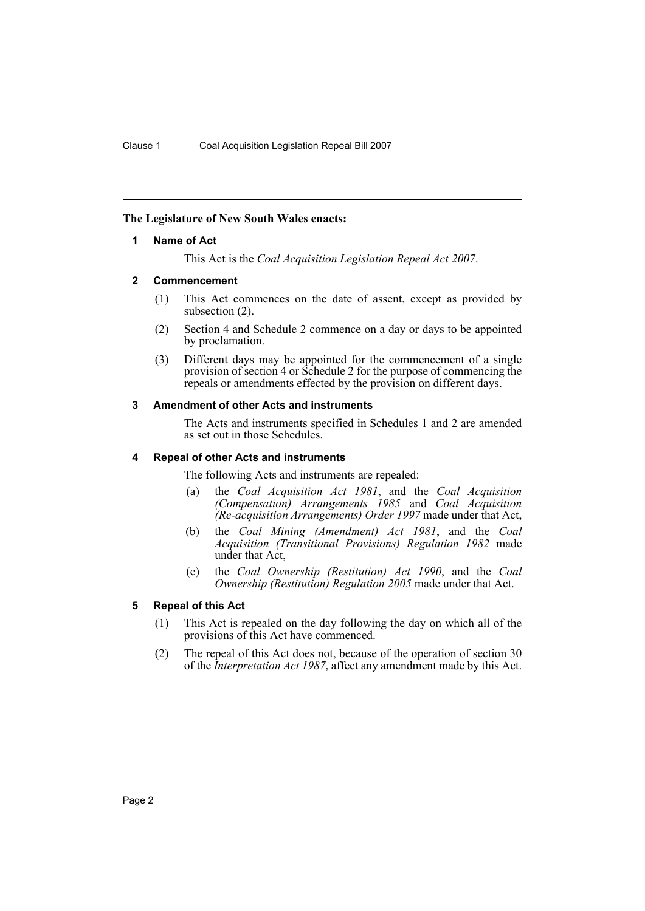## <span id="page-2-0"></span>**The Legislature of New South Wales enacts:**

## **1 Name of Act**

This Act is the *Coal Acquisition Legislation Repeal Act 2007*.

## <span id="page-2-1"></span>**2 Commencement**

- (1) This Act commences on the date of assent, except as provided by subsection (2).
- (2) Section 4 and Schedule 2 commence on a day or days to be appointed by proclamation.
- (3) Different days may be appointed for the commencement of a single provision of section 4 or Schedule 2 for the purpose of commencing the repeals or amendments effected by the provision on different days.

## <span id="page-2-2"></span>**3 Amendment of other Acts and instruments**

The Acts and instruments specified in Schedules 1 and 2 are amended as set out in those Schedules.

### <span id="page-2-3"></span>**4 Repeal of other Acts and instruments**

The following Acts and instruments are repealed:

- (a) the *Coal Acquisition Act 1981*, and the *Coal Acquisition (Compensation) Arrangements 1985* and *Coal Acquisition (Re-acquisition Arrangements) Order 1997* made under that Act,
- (b) the *Coal Mining (Amendment) Act 1981*, and the *Coal Acquisition (Transitional Provisions) Regulation 1982* made under that Act,
- (c) the *Coal Ownership (Restitution) Act 1990*, and the *Coal Ownership (Restitution) Regulation 2005* made under that Act.

## <span id="page-2-4"></span>**5 Repeal of this Act**

- (1) This Act is repealed on the day following the day on which all of the provisions of this Act have commenced.
- (2) The repeal of this Act does not, because of the operation of section 30 of the *Interpretation Act 1987*, affect any amendment made by this Act.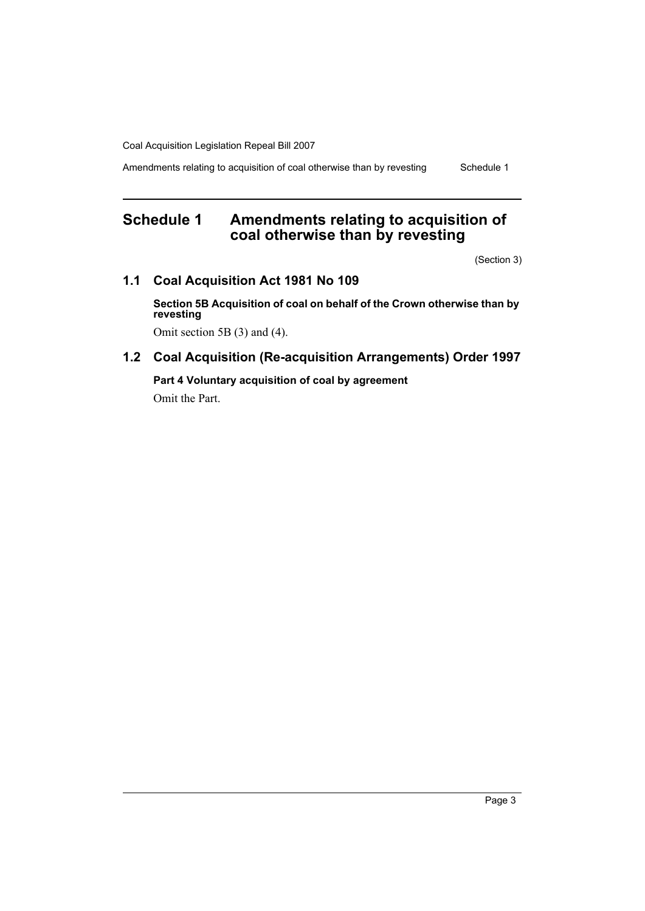Amendments relating to acquisition of coal otherwise than by revesting Schedule 1

# <span id="page-3-0"></span>**Schedule 1 Amendments relating to acquisition of coal otherwise than by revesting**

(Section 3)

## **1.1 Coal Acquisition Act 1981 No 109**

**Section 5B Acquisition of coal on behalf of the Crown otherwise than by revesting**

Omit section 5B (3) and (4).

## **1.2 Coal Acquisition (Re-acquisition Arrangements) Order 1997**

**Part 4 Voluntary acquisition of coal by agreement** Omit the Part.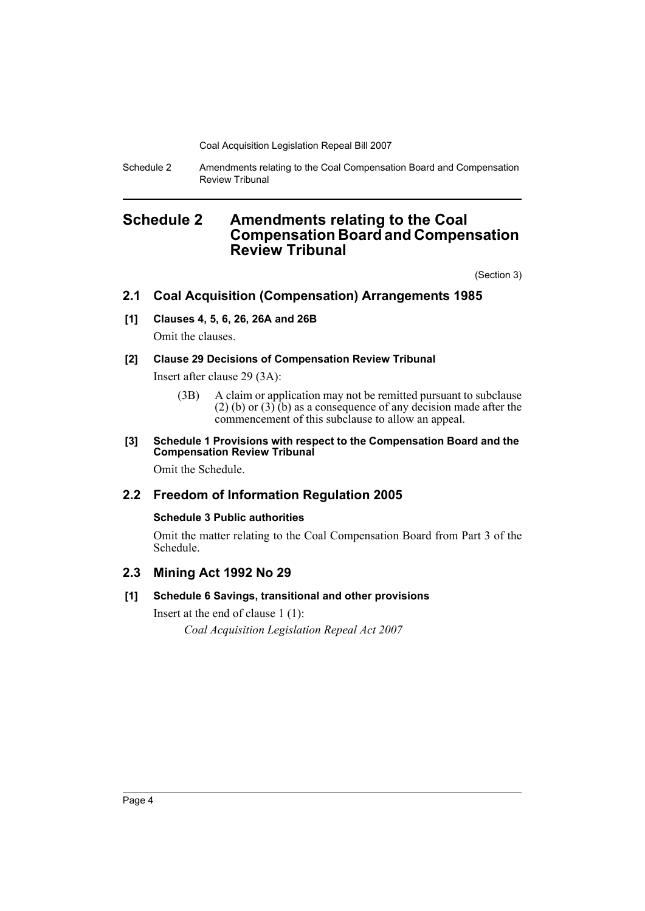Schedule 2 Amendments relating to the Coal Compensation Board and Compensation Review Tribunal

## <span id="page-4-0"></span>**Schedule 2 Amendments relating to the Coal Compensation Board and Compensation Review Tribunal**

(Section 3)

## **2.1 Coal Acquisition (Compensation) Arrangements 1985**

## **[1] Clauses 4, 5, 6, 26, 26A and 26B**

Omit the clauses.

## **[2] Clause 29 Decisions of Compensation Review Tribunal**

Insert after clause 29 (3A):

(3B) A claim or application may not be remitted pursuant to subclause (2) (b) or  $(3)$  (b) as a consequence of any decision made after the commencement of this subclause to allow an appeal.

### **[3] Schedule 1 Provisions with respect to the Compensation Board and the Compensation Review Tribunal**

Omit the Schedule.

## **2.2 Freedom of Information Regulation 2005**

## **Schedule 3 Public authorities**

Omit the matter relating to the Coal Compensation Board from Part 3 of the Schedule.

## **2.3 Mining Act 1992 No 29**

## **[1] Schedule 6 Savings, transitional and other provisions**

Insert at the end of clause 1 (1): *Coal Acquisition Legislation Repeal Act 2007*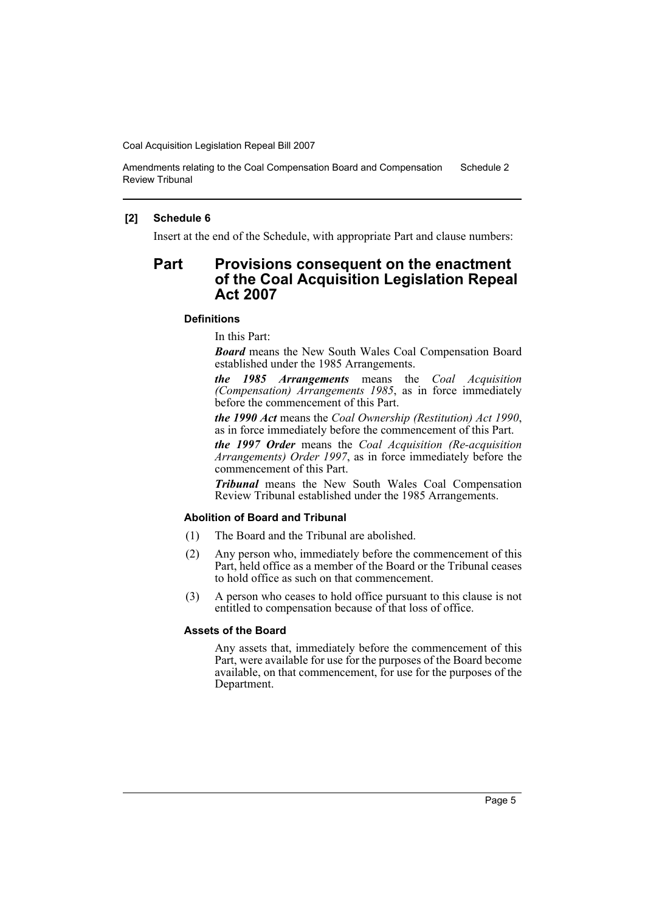Amendments relating to the Coal Compensation Board and Compensation Review Tribunal Schedule 2

#### **[2] Schedule 6**

Insert at the end of the Schedule, with appropriate Part and clause numbers:

## **Part Provisions consequent on the enactment of the Coal Acquisition Legislation Repeal Act 2007**

#### **Definitions**

In this Part:

*Board* means the New South Wales Coal Compensation Board established under the 1985 Arrangements.

*the 1985 Arrangements* means the *Coal Acquisition (Compensation) Arrangements 1985*, as in force immediately before the commencement of this Part.

*the 1990 Act* means the *Coal Ownership (Restitution) Act 1990*, as in force immediately before the commencement of this Part.

*the 1997 Order* means the *Coal Acquisition (Re-acquisition Arrangements) Order 1997*, as in force immediately before the commencement of this Part.

*Tribunal* means the New South Wales Coal Compensation Review Tribunal established under the 1985 Arrangements.

## **Abolition of Board and Tribunal**

- (1) The Board and the Tribunal are abolished.
- (2) Any person who, immediately before the commencement of this Part, held office as a member of the Board or the Tribunal ceases to hold office as such on that commencement.
- (3) A person who ceases to hold office pursuant to this clause is not entitled to compensation because of that loss of office.

#### **Assets of the Board**

Any assets that, immediately before the commencement of this Part, were available for use for the purposes of the Board become available, on that commencement, for use for the purposes of the Department.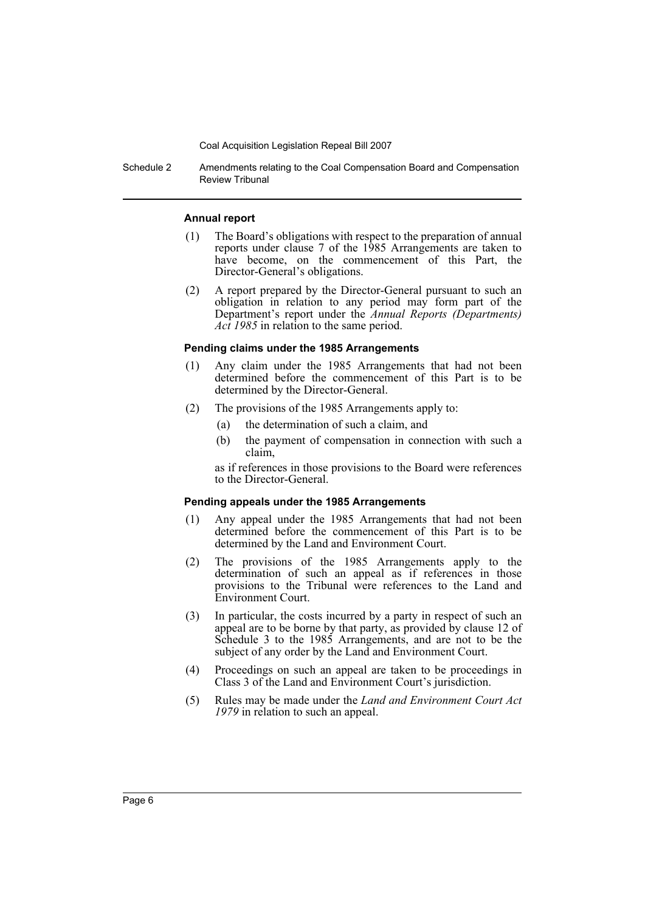Schedule 2 Amendments relating to the Coal Compensation Board and Compensation Review Tribunal

#### **Annual report**

- (1) The Board's obligations with respect to the preparation of annual reports under clause 7 of the 1985 Arrangements are taken to have become, on the commencement of this Part, the Director-General's obligations.
- (2) A report prepared by the Director-General pursuant to such an obligation in relation to any period may form part of the Department's report under the *Annual Reports (Departments) Act 1985* in relation to the same period.

#### **Pending claims under the 1985 Arrangements**

- (1) Any claim under the 1985 Arrangements that had not been determined before the commencement of this Part is to be determined by the Director-General.
- (2) The provisions of the 1985 Arrangements apply to:
	- (a) the determination of such a claim, and
	- (b) the payment of compensation in connection with such a claim,

as if references in those provisions to the Board were references to the Director-General.

#### **Pending appeals under the 1985 Arrangements**

- (1) Any appeal under the 1985 Arrangements that had not been determined before the commencement of this Part is to be determined by the Land and Environment Court.
- (2) The provisions of the 1985 Arrangements apply to the determination of such an appeal as if references in those provisions to the Tribunal were references to the Land and Environment Court.
- (3) In particular, the costs incurred by a party in respect of such an appeal are to be borne by that party, as provided by clause 12 of Schedule 3 to the 1985 Arrangements, and are not to be the subject of any order by the Land and Environment Court.
- (4) Proceedings on such an appeal are taken to be proceedings in Class 3 of the Land and Environment Court's jurisdiction.
- (5) Rules may be made under the *Land and Environment Court Act 1979* in relation to such an appeal.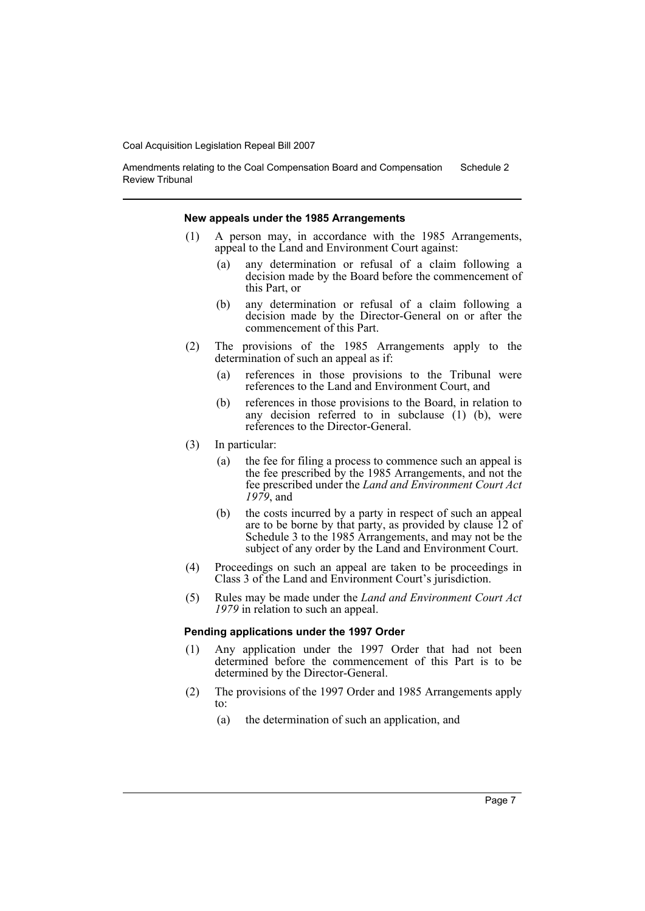Amendments relating to the Coal Compensation Board and Compensation Review Tribunal Schedule 2

#### **New appeals under the 1985 Arrangements**

- (1) A person may, in accordance with the 1985 Arrangements, appeal to the Land and Environment Court against:
	- (a) any determination or refusal of a claim following a decision made by the Board before the commencement of this Part, or
	- (b) any determination or refusal of a claim following a decision made by the Director-General on or after the commencement of this Part.
- (2) The provisions of the 1985 Arrangements apply to the determination of such an appeal as if:
	- (a) references in those provisions to the Tribunal were references to the Land and Environment Court, and
	- (b) references in those provisions to the Board, in relation to any decision referred to in subclause (1) (b), were references to the Director-General.
- (3) In particular:
	- (a) the fee for filing a process to commence such an appeal is the fee prescribed by the 1985 Arrangements, and not the fee prescribed under the *Land and Environment Court Act 1979*, and
	- (b) the costs incurred by a party in respect of such an appeal are to be borne by that party, as provided by clause 12 of Schedule 3 to the 1985 Arrangements, and may not be the subject of any order by the Land and Environment Court.
- (4) Proceedings on such an appeal are taken to be proceedings in Class 3 of the Land and Environment Court's jurisdiction.
- (5) Rules may be made under the *Land and Environment Court Act 1979* in relation to such an appeal.

#### **Pending applications under the 1997 Order**

- (1) Any application under the 1997 Order that had not been determined before the commencement of this Part is to be determined by the Director-General.
- (2) The provisions of the 1997 Order and 1985 Arrangements apply to:
	- (a) the determination of such an application, and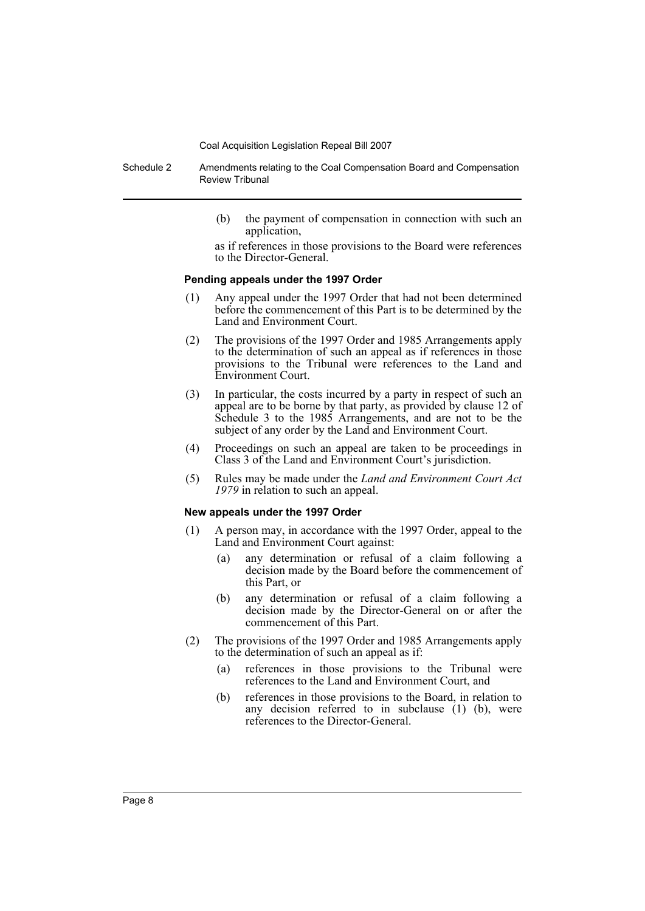Schedule 2 Amendments relating to the Coal Compensation Board and Compensation Review Tribunal

> (b) the payment of compensation in connection with such an application,

> as if references in those provisions to the Board were references to the Director-General.

#### **Pending appeals under the 1997 Order**

- (1) Any appeal under the 1997 Order that had not been determined before the commencement of this Part is to be determined by the Land and Environment Court.
- (2) The provisions of the 1997 Order and 1985 Arrangements apply to the determination of such an appeal as if references in those provisions to the Tribunal were references to the Land and Environment Court.
- (3) In particular, the costs incurred by a party in respect of such an appeal are to be borne by that party, as provided by clause 12 of Schedule 3 to the 1985 Arrangements, and are not to be the subject of any order by the Land and Environment Court.
- (4) Proceedings on such an appeal are taken to be proceedings in Class 3 of the Land and Environment Court's jurisdiction.
- (5) Rules may be made under the *Land and Environment Court Act 1979* in relation to such an appeal.

#### **New appeals under the 1997 Order**

- (1) A person may, in accordance with the 1997 Order, appeal to the Land and Environment Court against:
	- (a) any determination or refusal of a claim following a decision made by the Board before the commencement of this Part, or
	- (b) any determination or refusal of a claim following a decision made by the Director-General on or after the commencement of this Part.
- (2) The provisions of the 1997 Order and 1985 Arrangements apply to the determination of such an appeal as if:
	- (a) references in those provisions to the Tribunal were references to the Land and Environment Court, and
	- (b) references in those provisions to the Board, in relation to any decision referred to in subclause (1) (b), were references to the Director-General.